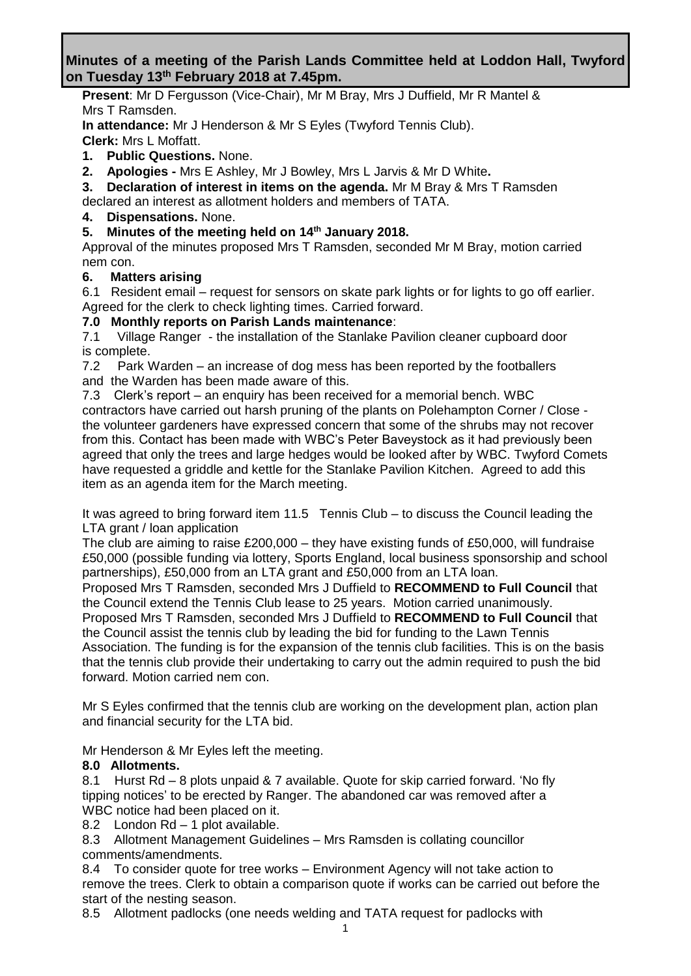# **Minutes of a meeting of the Parish Lands Committee held at Loddon Hall, Twyford on Tuesday 13th February 2018 at 7.45pm.**

**Present**: Mr D Fergusson (Vice-Chair), Mr M Bray, Mrs J Duffield, Mr R Mantel & Mrs T Ramsden.

**In attendance:** Mr J Henderson & Mr S Eyles (Twyford Tennis Club). **Clerk:** Mrs L Moffatt.

- **1. Public Questions.** None.
- **2. Apologies -** Mrs E Ashley, Mr J Bowley, Mrs L Jarvis & Mr D White**.**

**3. Declaration of interest in items on the agenda.** Mr M Bray & Mrs T Ramsden declared an interest as allotment holders and members of TATA.

**4. Dispensations.** None.

# **5. Minutes of the meeting held on 14th January 2018.**

Approval of the minutes proposed Mrs T Ramsden, seconded Mr M Bray, motion carried nem con.

# **6. Matters arising**

6.1Resident email – request for sensors on skate park lights or for lights to go off earlier. Agreed for the clerk to check lighting times. Carried forward.

## **7.0 Monthly reports on Parish Lands maintenance**:

7.1 Village Ranger - the installation of the Stanlake Pavilion cleaner cupboard door is complete.

7.2 Park Warden – an increase of dog mess has been reported by the footballers and the Warden has been made aware of this.

7.3 Clerk's report – an enquiry has been received for a memorial bench. WBC contractors have carried out harsh pruning of the plants on Polehampton Corner / Close the volunteer gardeners have expressed concern that some of the shrubs may not recover from this. Contact has been made with WBC's Peter Baveystock as it had previously been agreed that only the trees and large hedges would be looked after by WBC. Twyford Comets have requested a griddle and kettle for the Stanlake Pavilion Kitchen. Agreed to add this item as an agenda item for the March meeting.

It was agreed to bring forward item 11.5 Tennis Club – to discuss the Council leading the LTA grant / loan application

The club are aiming to raise £200,000 – they have existing funds of £50,000, will fundraise £50,000 (possible funding via lottery, Sports England, local business sponsorship and school partnerships), £50,000 from an LTA grant and £50,000 from an LTA loan.

Proposed Mrs T Ramsden, seconded Mrs J Duffield to **RECOMMEND to Full Council** that the Council extend the Tennis Club lease to 25 years. Motion carried unanimously.

Proposed Mrs T Ramsden, seconded Mrs J Duffield to **RECOMMEND to Full Council** that the Council assist the tennis club by leading the bid for funding to the Lawn Tennis Association. The funding is for the expansion of the tennis club facilities. This is on the basis that the tennis club provide their undertaking to carry out the admin required to push the bid forward. Motion carried nem con.

Mr S Eyles confirmed that the tennis club are working on the development plan, action plan and financial security for the LTA bid.

Mr Henderson & Mr Eyles left the meeting.

## **8.0 Allotments.**

8.1 Hurst Rd – 8 plots unpaid & 7 available. Quote for skip carried forward. 'No fly tipping notices' to be erected by Ranger. The abandoned car was removed after a WBC notice had been placed on it.

8.2 London Rd – 1 plot available.

8.3 Allotment Management Guidelines – Mrs Ramsden is collating councillor comments/amendments.

8.4 To consider quote for tree works – Environment Agency will not take action to remove the trees. Clerk to obtain a comparison quote if works can be carried out before the start of the nesting season.

8.5 Allotment padlocks (one needs welding and TATA request for padlocks with